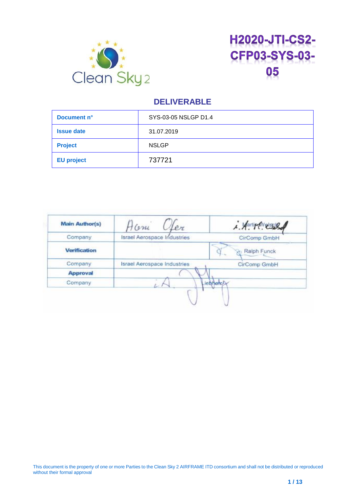



| Document n°       | SYS-03-05 NSLGP D1.4 |
|-------------------|----------------------|
| <b>Issue date</b> | 31.07.2019           |
| <b>Project</b>    | <b>NSLGP</b>         |
| <b>EU project</b> | 737721               |

| <b>Main Author(s)</b> | Home<br>ler                        | 1. Aarling News 2 |
|-----------------------|------------------------------------|-------------------|
| Company               | Israel Aerospace Industries        | CirComp GmbH      |
| <b>Verification</b>   |                                    | Ralph Funck       |
| Company               | <b>Israel Aerospace Industries</b> | CirComp GmbH      |
| <b>Approval</b>       |                                    |                   |
| Company               |                                    | <b>iehherch</b>   |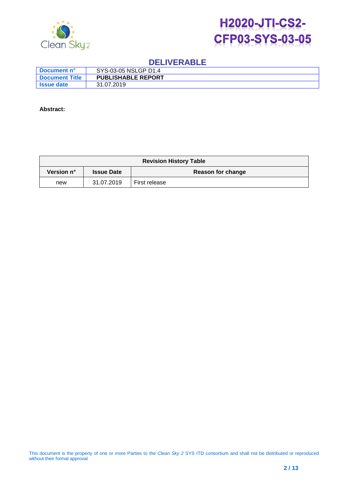



| ∣ Document n°      | SYS-03-05 NSLGP D1.4      |
|--------------------|---------------------------|
| l Document Title   | <b>PUBLISHABLE REPORT</b> |
| <b>Saue date</b> i | 31.07.2019                |

#### **Abstract:**

| <b>Revision History Table</b> |                   |                   |
|-------------------------------|-------------------|-------------------|
| Version n°                    | <b>Issue Date</b> | Reason for change |
| new                           | 31.07.2019        | First release     |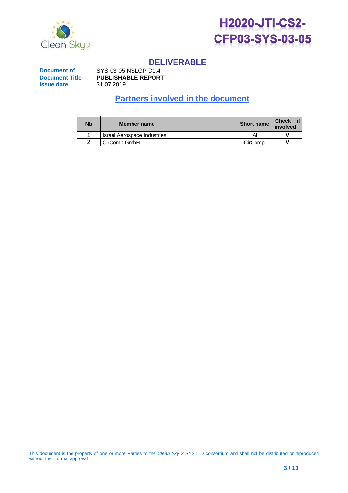



| ∣ Document n°     | SYS-03-05 NSLGP D1.4      |
|-------------------|---------------------------|
| ∣ Document Title⊹ | <b>PUBLISHABLE REPORT</b> |
| ' Issue date      | 31.07.2019                |

# **Partners involved in the document**

| <b>Nb</b> | Member name                 | <b>Short name</b> | Check if<br>involved |
|-----------|-----------------------------|-------------------|----------------------|
|           | Israel Aerospace Industries | IAI               |                      |
|           | CirComp GmbH                | CirComp           |                      |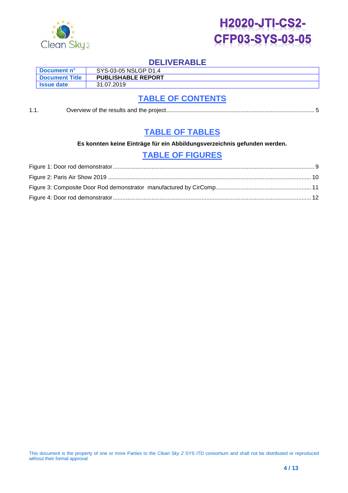



| Document n°           | SYS-03-05 NSLGP D1.4      |
|-----------------------|---------------------------|
| <b>Document Title</b> | <b>PUBLISHABLE REPORT</b> |
| I Issue date          | 31.07.2019                |

# **TABLE OF CONTENTS**

1.1. Overview of [the results and the project............................................................................................](#page-4-0) 5

## **TABLE OF TABLES**

**Es konnten keine Einträge für ein Abbildungsverzeichnis gefunden werden.**

## **TABLE OF FIGURES**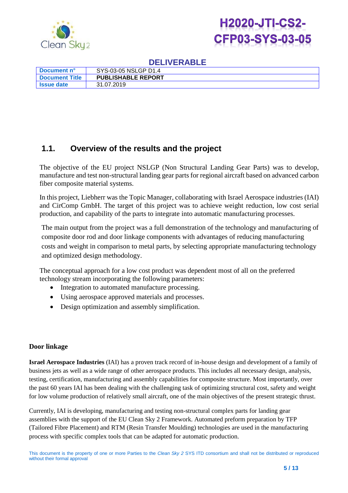



| ∣ Document n°         | SYS-03-05 NSLGP D1.4      |
|-----------------------|---------------------------|
| <b>Document Title</b> | <b>PUBLISHABLE REPORT</b> |
| <b>Saue date</b> i    | 31.07.2019                |

## <span id="page-4-0"></span>**1.1. Overview of the results and the project**

The objective of the EU project NSLGP (Non Structural Landing Gear Parts) was to develop, manufacture and test non-structural landing gear parts for regional aircraft based on advanced carbon fiber composite material systems.

In this project, Liebherr was the Topic Manager, collaborating with Israel Aerospace industries (IAI) and CirComp GmbH. The target of this project was to achieve weight reduction, low cost serial production, and capability of the parts to integrate into automatic manufacturing processes.

The main output from the project was a full demonstration of the technology and manufacturing of composite door rod and door linkage components with advantages of reducing manufacturing costs and weight in comparison to metal parts, by selecting appropriate manufacturing technology and optimized design methodology.

The conceptual approach for a low cost product was dependent most of all on the preferred technology stream incorporating the following parameters:

- Integration to automated manufacture processing.
- Using aerospace approved materials and processes.
- Design optimization and assembly simplification.

#### **Door linkage**

**Israel Aerospace Industries** (IAI) has a proven track record of in-house design and development of a family of business jets as well as a wide range of other aerospace products. This includes all necessary design, analysis, testing, certification, manufacturing and assembly capabilities for composite structure. Most importantly, over the past 60 years IAI has been dealing with the challenging task of optimizing structural cost, safety and weight for low volume production of relatively small aircraft, one of the main objectives of the present strategic thrust.

Currently, IAI is developing, manufacturing and testing non-structural complex parts for landing gear assemblies with the support of the EU Clean Sky 2 Framework. Automated preform preparation by TFP (Tailored Fibre Placement) and RTM (Resin Transfer Moulding) technologies are used in the manufacturing process with specific complex tools that can be adapted for automatic production.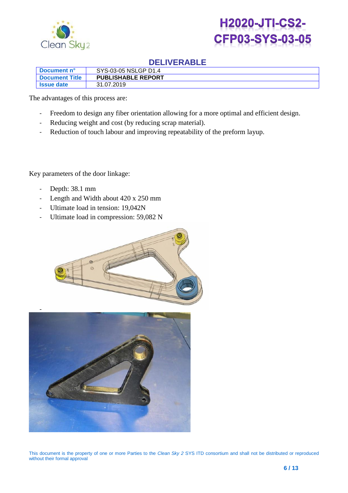



| ∣ Document n°     | SYS-03-05 NSLGP D1.4      |
|-------------------|---------------------------|
| ∣ Document Title∶ | <b>PUBLISHABLE REPORT</b> |
| <b>Same date</b>  | 31.07.2019                |

The advantages of this process are:

- Freedom to design any fiber orientation allowing for a more optimal and efficient design.
- Reducing weight and cost (by reducing scrap material).
- Reduction of touch labour and improving repeatability of the preform layup.

Key parameters of the door linkage:

- Depth: 38.1 mm
- Length and Width about 420 x 250 mm
- Ultimate load in tension: 19,042N
- Ultimate load in compression: 59,082 N



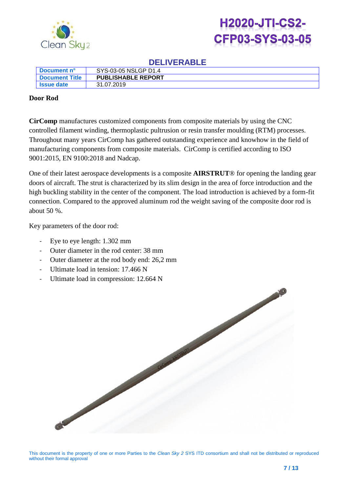



| Document n°           | SYS-03-05 NSLGP D1.4      |
|-----------------------|---------------------------|
| <b>Document Title</b> | <b>PUBLISHABLE REPORT</b> |
| I Issue date          | 31.07.2019                |

#### **Door Rod**

**CirComp** manufactures customized components from composite materials by using the CNC controlled filament winding, thermoplastic pultrusion or resin transfer moulding (RTM) processes. Throughout many years CirComp has gathered outstanding experience and knowhow in the field of manufacturing components from composite materials. CirComp is certified according to ISO 9001:2015, EN 9100:2018 and Nadcap.

One of their latest aerospace developments is a composite **AIRSTRUT**® for opening the landing gear doors of aircraft. The strut is characterized by its slim design in the area of force introduction and the high buckling stability in the center of the component. The load introduction is achieved by a form-fit connection. Compared to the approved aluminum rod the weight saving of the composite door rod is about 50 %.

Key parameters of the door rod:

- Eye to eye length: 1.302 mm
- Outer diameter in the rod center: 38 mm
- Outer diameter at the rod body end: 26,2 mm
- Ultimate load in tension: 17.466 N
- Ultimate load in compression: 12.664 N

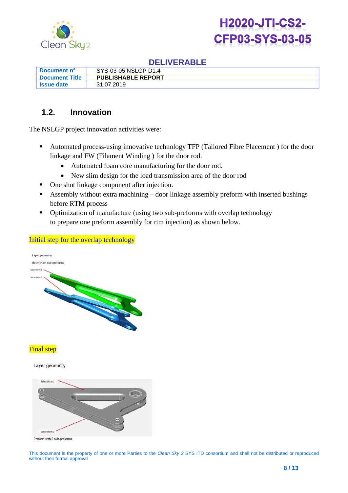



| ∣ Document n°         | SYS-03-05 NSLGP D1.4      |
|-----------------------|---------------------------|
| <b>Document Title</b> | <b>PUBLISHABLE REPORT</b> |
| ' Issue date          | 31.07.2019                |

## **1.2. Innovation**

The NSLGP project innovation activities were:

- Automated process-using innovative technology TFP (Tailored Fibre Placement ) for the door linkage and FW (Filament Winding ) for the door rod.
	- Automated foam core manufacturing for the door rod.
	- New slim design for the load transmission area of the door rod
- One shot linkage component after injection.
- Assembly without extra machining door linkage assembly preform with inserted bushings before RTM process
- Optimization of manufacture (using two sub-preforms with overlap technology to prepare one preform assembly for rtm injection) as shown below.

#### Initial step for the overlap technology



#### **Final step**

Layer geometry

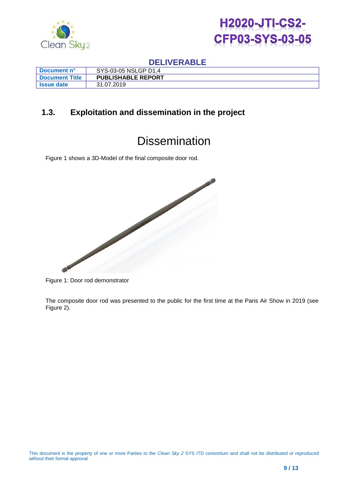



| ∣ Document n°     | SYS-03-05 NSLGP D1.4      |
|-------------------|---------------------------|
| l Document Title  | <b>PUBLISHABLE REPORT</b> |
| <b>Issue date</b> | 31.07.2019                |

## **1.3. Exploitation and dissemination in the project**

# **Dissemination**

[Figure 1](#page-8-0) shows a 3D-Model of the final composite door rod.



<span id="page-8-0"></span>Figure 1: Door rod demonstrator

The composite door rod was presented to the public for the first time at the Paris Air Show in 2019 (see [Figure 2\)](#page-9-0).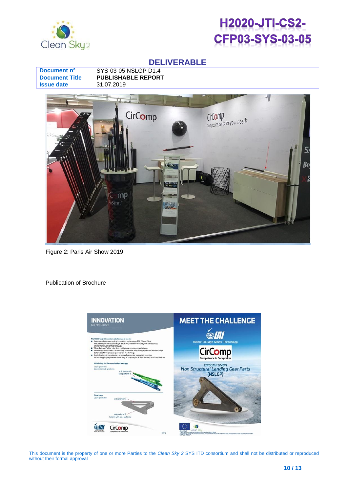



|                       | <b>DELIVERADLE</b>                                                                                       |
|-----------------------|----------------------------------------------------------------------------------------------------------|
| Document n°           | SYS-03-05 NSLGP D1.4                                                                                     |
| <b>Document Title</b> | <b>PUBLISHABLE REPORT</b>                                                                                |
| <b>Issue date</b>     | 31.07.2019                                                                                               |
|                       | CirComp<br>CirComp<br>Composite parts for your needs<br>Bo<br>学习<br>MPS 20<br>mp<br>irStrut <sup>*</sup> |

<span id="page-9-0"></span>Figure 2: Paris Air Show 2019

Publication of Brochure

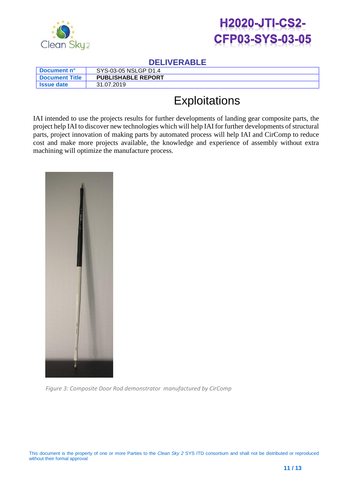



| <b>Document n°</b>      | SYS-03-05 NSLGP D1.4      |
|-------------------------|---------------------------|
| <u>I Document Title</u> | <b>PUBLISHABLE REPORT</b> |
| <b>Saue date</b>        | 31.07.2019                |

# **Exploitations**

IAI intended to use the projects results for further developments of landing gear composite parts, the project help IAI to discover new technologies which will help IAI for further developments of structural parts, project innovation of making parts by automated process will help IAI and CirComp to reduce cost and make more projects available, the knowledge and experience of assembly without extra machining will optimize the manufacture process.

<span id="page-10-0"></span>

*Figure 3: Composite Door Rod demonstrator manufactured by CirComp*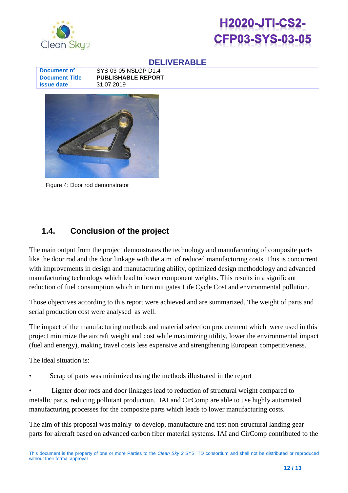



| ∣ Document n°    | SYS-03-05 NSLGP D1.4      |
|------------------|---------------------------|
| l Document Title | <b>PUBLISHABLE REPORT</b> |
| <b>Same date</b> | 31.07.2019                |



Figure 4: Door rod demonstrator

## <span id="page-11-0"></span>**1.4. Conclusion of the project**

The main output from the project demonstrates the technology and manufacturing of composite parts like the door rod and the door linkage with the aim of reduced manufacturing costs. This is concurrent with improvements in design and manufacturing ability, optimized design methodology and advanced manufacturing technology which lead to lower component weights. This results in a significant reduction of fuel consumption which in turn mitigates Life Cycle Cost and environmental pollution.

Those objectives according to this report were achieved and are summarized. The weight of parts and serial production cost were analysed as well.

The impact of the manufacturing methods and material selection procurement which were used in this project minimize the aircraft weight and cost while maximizing utility, lower the environmental impact (fuel and energy), making travel costs less expensive and strengthening European competitiveness.

The ideal situation is:

• Scrap of parts was minimized using the methods illustrated in the report

• Lighter door rods and door linkages lead to reduction of structural weight compared to metallic parts, reducing pollutant production. IAI and CirComp are able to use highly automated manufacturing processes for the composite parts which leads to lower manufacturing costs.

The aim of this proposal was mainly to develop, manufacture and test non-structural landing gear parts for aircraft based on advanced carbon fiber material systems. IAI and CirComp contributed to the